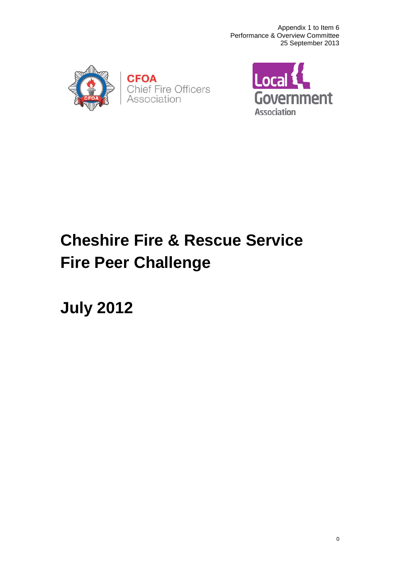



# **Cheshire Fire & Rescue Service Fire Peer Challenge**

**July 2012**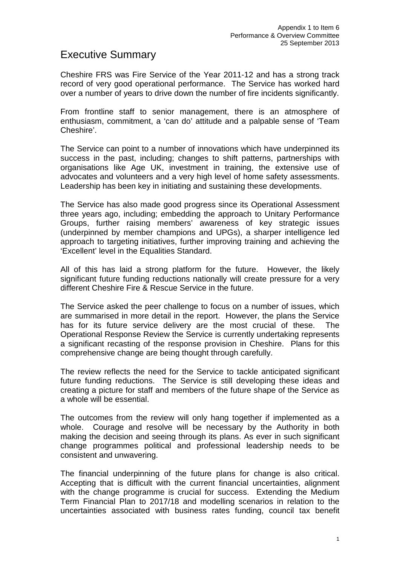## Executive Summary

Cheshire FRS was Fire Service of the Year 2011-12 and has a strong track record of very good operational performance. The Service has worked hard over a number of years to drive down the number of fire incidents significantly.

From frontline staff to senior management, there is an atmosphere of enthusiasm, commitment, a 'can do' attitude and a palpable sense of 'Team Cheshire'.

The Service can point to a number of innovations which have underpinned its success in the past, including; changes to shift patterns, partnerships with organisations like Age UK, investment in training, the extensive use of advocates and volunteers and a very high level of home safety assessments. Leadership has been key in initiating and sustaining these developments.

The Service has also made good progress since its Operational Assessment three years ago, including; embedding the approach to Unitary Performance Groups, further raising members' awareness of key strategic issues (underpinned by member champions and UPGs), a sharper intelligence led approach to targeting initiatives, further improving training and achieving the 'Excellent' level in the Equalities Standard.

All of this has laid a strong platform for the future. However, the likely significant future funding reductions nationally will create pressure for a very different Cheshire Fire & Rescue Service in the future.

The Service asked the peer challenge to focus on a number of issues, which are summarised in more detail in the report. However, the plans the Service has for its future service delivery are the most crucial of these. The Operational Response Review the Service is currently undertaking represents a significant recasting of the response provision in Cheshire. Plans for this comprehensive change are being thought through carefully.

The review reflects the need for the Service to tackle anticipated significant future funding reductions. The Service is still developing these ideas and creating a picture for staff and members of the future shape of the Service as a whole will be essential.

The outcomes from the review will only hang together if implemented as a whole. Courage and resolve will be necessary by the Authority in both making the decision and seeing through its plans. As ever in such significant change programmes political and professional leadership needs to be consistent and unwavering.

The financial underpinning of the future plans for change is also critical. Accepting that is difficult with the current financial uncertainties, alignment with the change programme is crucial for success. Extending the Medium Term Financial Plan to 2017/18 and modelling scenarios in relation to the uncertainties associated with business rates funding, council tax benefit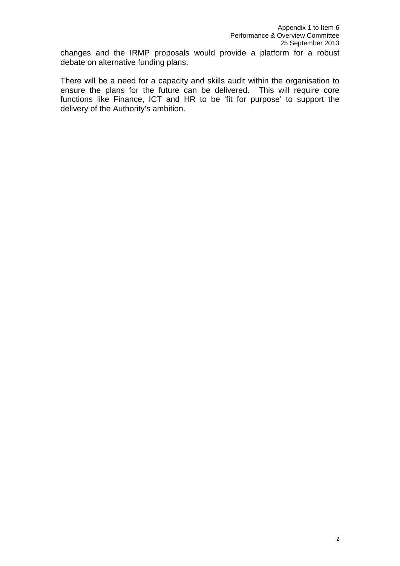changes and the IRMP proposals would provide a platform for a robust debate on alternative funding plans.

There will be a need for a capacity and skills audit within the organisation to ensure the plans for the future can be delivered. This will require core functions like Finance, ICT and HR to be 'fit for purpose' to support the delivery of the Authority's ambition.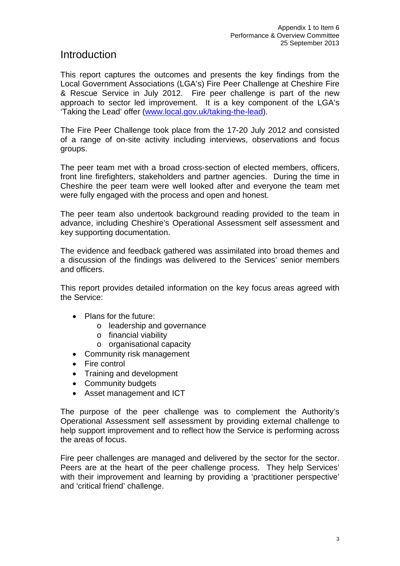## Introduction

This report captures the outcomes and presents the key findings from the Local Government Associations (LGA's) Fire Peer Challenge at Cheshire Fire & Rescue Service in July 2012. Fire peer challenge is part of the new approach to sector led improvement. It is a key component of the LGA's 'Taking the Lead' offer [\(www.local.gov.uk/taking-the-lead\)](http://www.local.gov.uk/taking-the-lead).

The Fire Peer Challenge took place from the 17-20 July 2012 and consisted of a range of on-site activity including interviews, observations and focus groups.

The peer team met with a broad cross-section of elected members, officers, front line firefighters, stakeholders and partner agencies. During the time in Cheshire the peer team were well looked after and everyone the team met were fully engaged with the process and open and honest.

The peer team also undertook background reading provided to the team in advance, including Cheshire's Operational Assessment self assessment and key supporting documentation.

The evidence and feedback gathered was assimilated into broad themes and a discussion of the findings was delivered to the Services' senior members and officers.

This report provides detailed information on the key focus areas agreed with the Service:

- Plans for the future:
	- o leadership and governance
	- o financial viability
	- o organisational capacity
- Community risk management
- Fire control
- Training and development
- Community budgets
- Asset management and ICT

The purpose of the peer challenge was to complement the Authority's Operational Assessment self assessment by providing external challenge to help support improvement and to reflect how the Service is performing across the areas of focus.

Fire peer challenges are managed and delivered by the sector for the sector. Peers are at the heart of the peer challenge process. They help Services' with their improvement and learning by providing a 'practitioner perspective' and 'critical friend' challenge.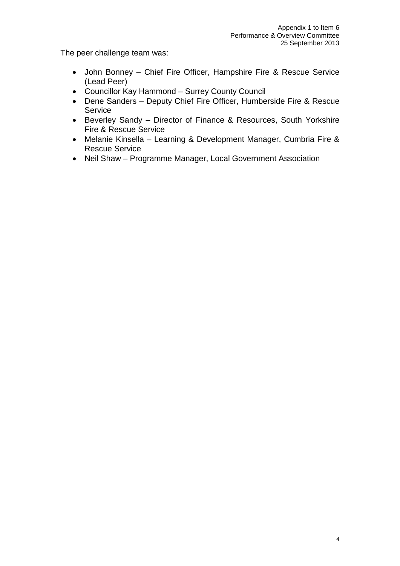The peer challenge team was:

- John Bonney Chief Fire Officer, Hampshire Fire & Rescue Service (Lead Peer)
- Councillor Kay Hammond Surrey County Council
- Dene Sanders Deputy Chief Fire Officer, Humberside Fire & Rescue **Service**
- Beverley Sandy Director of Finance & Resources, South Yorkshire Fire & Rescue Service
- Melanie Kinsella Learning & Development Manager, Cumbria Fire & Rescue Service
- Neil Shaw Programme Manager, Local Government Association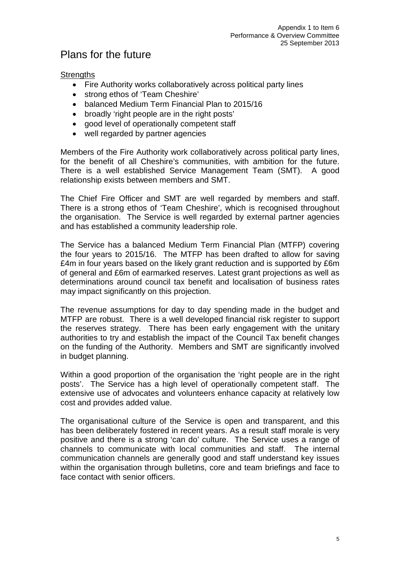# Plans for the future

#### **Strengths**

- Fire Authority works collaboratively across political party lines
- strong ethos of 'Team Cheshire'
- balanced Medium Term Financial Plan to 2015/16
- broadly 'right people are in the right posts'
- good level of operationally competent staff
- well regarded by partner agencies

Members of the Fire Authority work collaboratively across political party lines, for the benefit of all Cheshire's communities, with ambition for the future. There is a well established Service Management Team (SMT). A good relationship exists between members and SMT.

The Chief Fire Officer and SMT are well regarded by members and staff. There is a strong ethos of 'Team Cheshire', which is recognised throughout the organisation. The Service is well regarded by external partner agencies and has established a community leadership role.

The Service has a balanced Medium Term Financial Plan (MTFP) covering the four years to 2015/16. The MTFP has been drafted to allow for saving £4m in four years based on the likely grant reduction and is supported by £6m of general and £6m of earmarked reserves. Latest grant projections as well as determinations around council tax benefit and localisation of business rates may impact significantly on this projection.

The revenue assumptions for day to day spending made in the budget and MTFP are robust. There is a well developed financial risk register to support the reserves strategy. There has been early engagement with the unitary authorities to try and establish the impact of the Council Tax benefit changes on the funding of the Authority. Members and SMT are significantly involved in budget planning.

Within a good proportion of the organisation the 'right people are in the right posts'. The Service has a high level of operationally competent staff. The extensive use of advocates and volunteers enhance capacity at relatively low cost and provides added value.

The organisational culture of the Service is open and transparent, and this has been deliberately fostered in recent years. As a result staff morale is very positive and there is a strong 'can do' culture. The Service uses a range of channels to communicate with local communities and staff. The internal communication channels are generally good and staff understand key issues within the organisation through bulletins, core and team briefings and face to face contact with senior officers.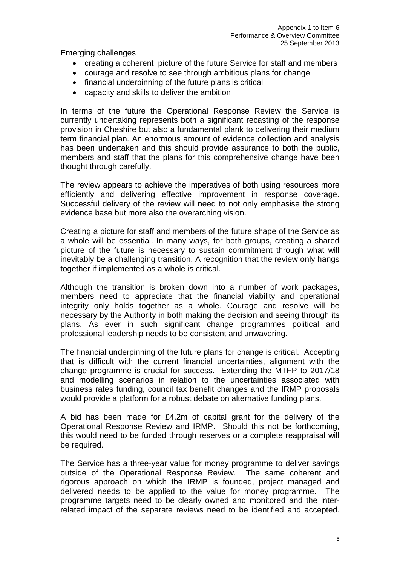Emerging challenges

- creating a coherent picture of the future Service for staff and members
- courage and resolve to see through ambitious plans for change
- financial underpinning of the future plans is critical
- capacity and skills to deliver the ambition

In terms of the future the Operational Response Review the Service is currently undertaking represents both a significant recasting of the response provision in Cheshire but also a fundamental plank to delivering their medium term financial plan. An enormous amount of evidence collection and analysis has been undertaken and this should provide assurance to both the public, members and staff that the plans for this comprehensive change have been thought through carefully.

The review appears to achieve the imperatives of both using resources more efficiently and delivering effective improvement in response coverage. Successful delivery of the review will need to not only emphasise the strong evidence base but more also the overarching vision.

Creating a picture for staff and members of the future shape of the Service as a whole will be essential. In many ways, for both groups, creating a shared picture of the future is necessary to sustain commitment through what will inevitably be a challenging transition. A recognition that the review only hangs together if implemented as a whole is critical.

Although the transition is broken down into a number of work packages, members need to appreciate that the financial viability and operational integrity only holds together as a whole. Courage and resolve will be necessary by the Authority in both making the decision and seeing through its plans. As ever in such significant change programmes political and professional leadership needs to be consistent and unwavering.

The financial underpinning of the future plans for change is critical. Accepting that is difficult with the current financial uncertainties, alignment with the change programme is crucial for success. Extending the MTFP to 2017/18 and modelling scenarios in relation to the uncertainties associated with business rates funding, council tax benefit changes and the IRMP proposals would provide a platform for a robust debate on alternative funding plans.

A bid has been made for £4.2m of capital grant for the delivery of the Operational Response Review and IRMP. Should this not be forthcoming, this would need to be funded through reserves or a complete reappraisal will be required.

The Service has a three-year value for money programme to deliver savings outside of the Operational Response Review. The same coherent and rigorous approach on which the IRMP is founded, project managed and delivered needs to be applied to the value for money programme. The programme targets need to be clearly owned and monitored and the interrelated impact of the separate reviews need to be identified and accepted.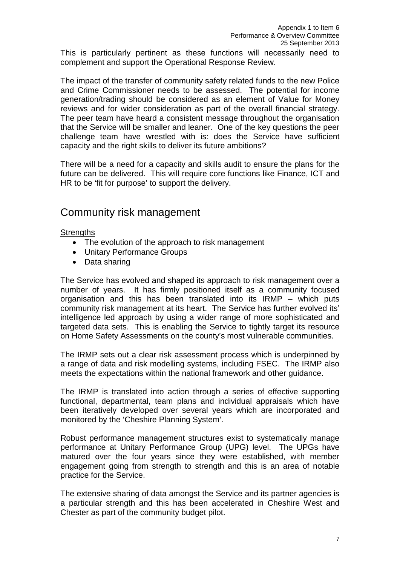This is particularly pertinent as these functions will necessarily need to complement and support the Operational Response Review.

The impact of the transfer of community safety related funds to the new Police and Crime Commissioner needs to be assessed. The potential for income generation/trading should be considered as an element of Value for Money reviews and for wider consideration as part of the overall financial strategy. The peer team have heard a consistent message throughout the organisation that the Service will be smaller and leaner. One of the key questions the peer challenge team have wrestled with is: does the Service have sufficient capacity and the right skills to deliver its future ambitions?

There will be a need for a capacity and skills audit to ensure the plans for the future can be delivered. This will require core functions like Finance, ICT and HR to be 'fit for purpose' to support the delivery.

## Community risk management

**Strengths** 

- The evolution of the approach to risk management
- Unitary Performance Groups
- Data sharing

The Service has evolved and shaped its approach to risk management over a number of years. It has firmly positioned itself as a community focused organisation and this has been translated into its IRMP – which puts community risk management at its heart. The Service has further evolved its' intelligence led approach by using a wider range of more sophisticated and targeted data sets. This is enabling the Service to tightly target its resource on Home Safety Assessments on the county's most vulnerable communities.

The IRMP sets out a clear risk assessment process which is underpinned by a range of data and risk modelling systems, including FSEC. The IRMP also meets the expectations within the national framework and other guidance.

The IRMP is translated into action through a series of effective supporting functional, departmental, team plans and individual appraisals which have been iteratively developed over several years which are incorporated and monitored by the 'Cheshire Planning System'.

Robust performance management structures exist to systematically manage performance at Unitary Performance Group (UPG) level. The UPGs have matured over the four years since they were established, with member engagement going from strength to strength and this is an area of notable practice for the Service.

The extensive sharing of data amongst the Service and its partner agencies is a particular strength and this has been accelerated in Cheshire West and Chester as part of the community budget pilot.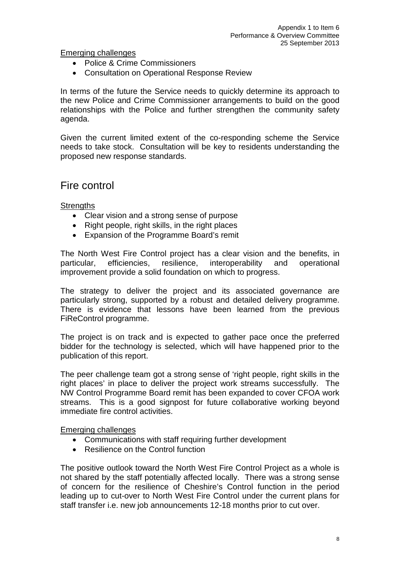Emerging challenges

- Police & Crime Commissioners
- Consultation on Operational Response Review

In terms of the future the Service needs to quickly determine its approach to the new Police and Crime Commissioner arrangements to build on the good relationships with the Police and further strengthen the community safety agenda.

Given the current limited extent of the co-responding scheme the Service needs to take stock. Consultation will be key to residents understanding the proposed new response standards.

### Fire control

**Strengths** 

- Clear vision and a strong sense of purpose
- Right people, right skills, in the right places
- Expansion of the Programme Board's remit

The North West Fire Control project has a clear vision and the benefits, in particular, efficiencies, resilience, interoperability and operational improvement provide a solid foundation on which to progress.

The strategy to deliver the project and its associated governance are particularly strong, supported by a robust and detailed delivery programme. There is evidence that lessons have been learned from the previous FiReControl programme.

The project is on track and is expected to gather pace once the preferred bidder for the technology is selected, which will have happened prior to the publication of this report.

The peer challenge team got a strong sense of 'right people, right skills in the right places' in place to deliver the project work streams successfully. The NW Control Programme Board remit has been expanded to cover CFOA work streams. This is a good signpost for future collaborative working beyond immediate fire control activities.

Emerging challenges

- Communications with staff requiring further development
- Resilience on the Control function

The positive outlook toward the North West Fire Control Project as a whole is not shared by the staff potentially affected locally. There was a strong sense of concern for the resilience of Cheshire's Control function in the period leading up to cut-over to North West Fire Control under the current plans for staff transfer i.e. new job announcements 12-18 months prior to cut over.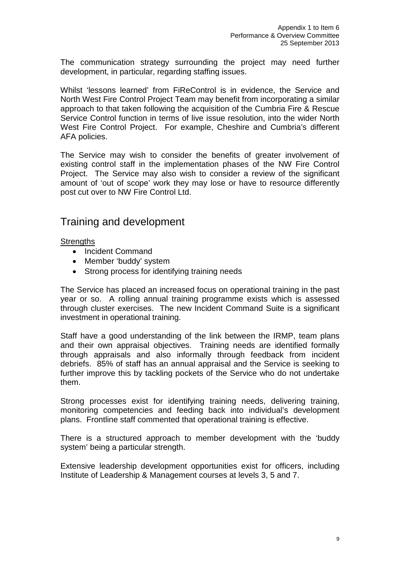The communication strategy surrounding the project may need further development, in particular, regarding staffing issues.

Whilst 'lessons learned' from FiReControl is in evidence, the Service and North West Fire Control Project Team may benefit from incorporating a similar approach to that taken following the acquisition of the Cumbria Fire & Rescue Service Control function in terms of live issue resolution, into the wider North West Fire Control Project. For example, Cheshire and Cumbria's different AFA policies.

The Service may wish to consider the benefits of greater involvement of existing control staff in the implementation phases of the NW Fire Control Project. The Service may also wish to consider a review of the significant amount of 'out of scope' work they may lose or have to resource differently post cut over to NW Fire Control Ltd.

## Training and development

#### **Strengths**

- Incident Command
- Member 'buddy' system
- Strong process for identifying training needs

The Service has placed an increased focus on operational training in the past year or so. A rolling annual training programme exists which is assessed through cluster exercises. The new Incident Command Suite is a significant investment in operational training.

Staff have a good understanding of the link between the IRMP, team plans and their own appraisal objectives. Training needs are identified formally through appraisals and also informally through feedback from incident debriefs. 85% of staff has an annual appraisal and the Service is seeking to further improve this by tackling pockets of the Service who do not undertake them.

Strong processes exist for identifying training needs, delivering training, monitoring competencies and feeding back into individual's development plans. Frontline staff commented that operational training is effective.

There is a structured approach to member development with the 'buddy system' being a particular strength.

Extensive leadership development opportunities exist for officers, including Institute of Leadership & Management courses at levels 3, 5 and 7.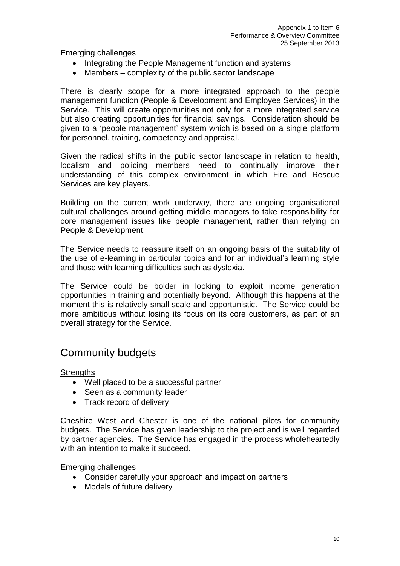Emerging challenges

- Integrating the People Management function and systems
- Members complexity of the public sector landscape

There is clearly scope for a more integrated approach to the people management function (People & Development and Employee Services) in the Service. This will create opportunities not only for a more integrated service but also creating opportunities for financial savings. Consideration should be given to a 'people management' system which is based on a single platform for personnel, training, competency and appraisal.

Given the radical shifts in the public sector landscape in relation to health, localism and policing members need to continually improve their understanding of this complex environment in which Fire and Rescue Services are key players.

Building on the current work underway, there are ongoing organisational cultural challenges around getting middle managers to take responsibility for core management issues like people management, rather than relying on People & Development.

The Service needs to reassure itself on an ongoing basis of the suitability of the use of e-learning in particular topics and for an individual's learning style and those with learning difficulties such as dyslexia.

The Service could be bolder in looking to exploit income generation opportunities in training and potentially beyond. Although this happens at the moment this is relatively small scale and opportunistic. The Service could be more ambitious without losing its focus on its core customers, as part of an overall strategy for the Service.

# Community budgets

**Strengths** 

- Well placed to be a successful partner
- Seen as a community leader
- Track record of delivery

Cheshire West and Chester is one of the national pilots for community budgets. The Service has given leadership to the project and is well regarded by partner agencies. The Service has engaged in the process wholeheartedly with an intention to make it succeed.

Emerging challenges

- Consider carefully your approach and impact on partners
- Models of future delivery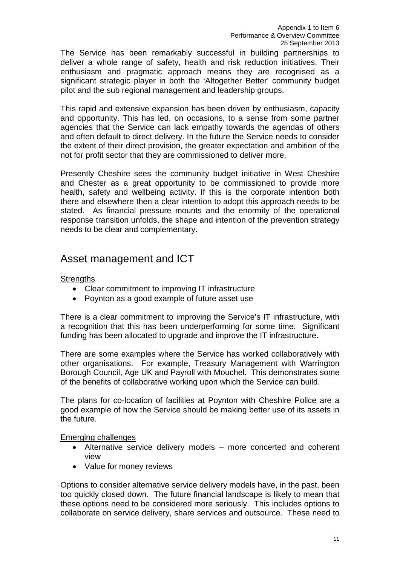The Service has been remarkably successful in building partnerships to deliver a whole range of safety, health and risk reduction initiatives. Their enthusiasm and pragmatic approach means they are recognised as a significant strategic player in both the 'Altogether Better' community budget pilot and the sub regional management and leadership groups.

This rapid and extensive expansion has been driven by enthusiasm, capacity and opportunity. This has led, on occasions, to a sense from some partner agencies that the Service can lack empathy towards the agendas of others and often default to direct delivery. In the future the Service needs to consider the extent of their direct provision, the greater expectation and ambition of the not for profit sector that they are commissioned to deliver more.

Presently Cheshire sees the community budget initiative in West Cheshire and Chester as a great opportunity to be commissioned to provide more health, safety and wellbeing activity. If this is the corporate intention both there and elsewhere then a clear intention to adopt this approach needs to be stated. As financial pressure mounts and the enormity of the operational response transition unfolds, the shape and intention of the prevention strategy needs to be clear and complementary.

# Asset management and ICT

#### **Strengths**

- Clear commitment to improving IT infrastructure
- Poynton as a good example of future asset use

There is a clear commitment to improving the Service's IT infrastructure, with a recognition that this has been underperforming for some time. Significant funding has been allocated to upgrade and improve the IT infrastructure.

There are some examples where the Service has worked collaboratively with other organisations. For example, Treasury Management with Warrington Borough Council, Age UK and Payroll with Mouchel. This demonstrates some of the benefits of collaborative working upon which the Service can build.

The plans for co-location of facilities at Poynton with Cheshire Police are a good example of how the Service should be making better use of its assets in the future.

#### Emerging challenges

- Alternative service delivery models more concerted and coherent view
- Value for money reviews

Options to consider alternative service delivery models have, in the past, been too quickly closed down. The future financial landscape is likely to mean that these options need to be considered more seriously. This includes options to collaborate on service delivery, share services and outsource. These need to